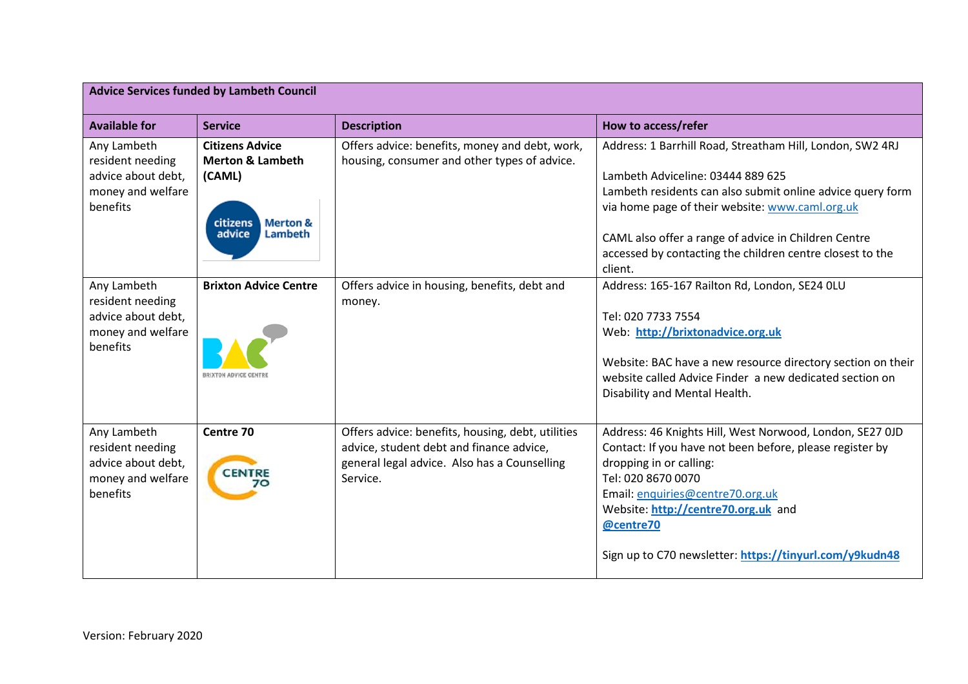| <b>Advice Services funded by Lambeth Council</b>                                       |                                                                                                                         |                                                                                                                                                           |                                                                                                                                                                                                                                                                                                                                                 |
|----------------------------------------------------------------------------------------|-------------------------------------------------------------------------------------------------------------------------|-----------------------------------------------------------------------------------------------------------------------------------------------------------|-------------------------------------------------------------------------------------------------------------------------------------------------------------------------------------------------------------------------------------------------------------------------------------------------------------------------------------------------|
| <b>Available for</b>                                                                   | <b>Service</b>                                                                                                          | <b>Description</b>                                                                                                                                        | How to access/refer                                                                                                                                                                                                                                                                                                                             |
| Any Lambeth<br>resident needing<br>advice about debt,<br>money and welfare<br>benefits | <b>Citizens Advice</b><br><b>Merton &amp; Lambeth</b><br>(CAML)<br>citizens<br><b>Merton &amp;</b><br>Lambeth<br>advice | Offers advice: benefits, money and debt, work,<br>housing, consumer and other types of advice.                                                            | Address: 1 Barrhill Road, Streatham Hill, London, SW2 4RJ<br>Lambeth Adviceline: 03444 889 625<br>Lambeth residents can also submit online advice query form<br>via home page of their website: www.caml.org.uk<br>CAML also offer a range of advice in Children Centre<br>accessed by contacting the children centre closest to the<br>client. |
| Any Lambeth<br>resident needing<br>advice about debt,<br>money and welfare<br>benefits | <b>Brixton Advice Centre</b><br><b>BRIXTON ADVICE CENTE</b>                                                             | Offers advice in housing, benefits, debt and<br>money.                                                                                                    | Address: 165-167 Railton Rd, London, SE24 OLU<br>Tel: 020 7733 7554<br>Web: http://brixtonadvice.org.uk<br>Website: BAC have a new resource directory section on their<br>website called Advice Finder a new dedicated section on<br>Disability and Mental Health.                                                                              |
| Any Lambeth<br>resident needing<br>advice about debt,<br>money and welfare<br>benefits | Centre 70<br><b>CENTRE</b>                                                                                              | Offers advice: benefits, housing, debt, utilities<br>advice, student debt and finance advice,<br>general legal advice. Also has a Counselling<br>Service. | Address: 46 Knights Hill, West Norwood, London, SE27 OJD<br>Contact: If you have not been before, please register by<br>dropping in or calling:<br>Tel: 020 8670 0070<br>Email: enquiries@centre70.org.uk<br>Website: http://centre70.org.uk and<br>@centre70<br>Sign up to C70 newsletter: https://tinyurl.com/y9kudn48                        |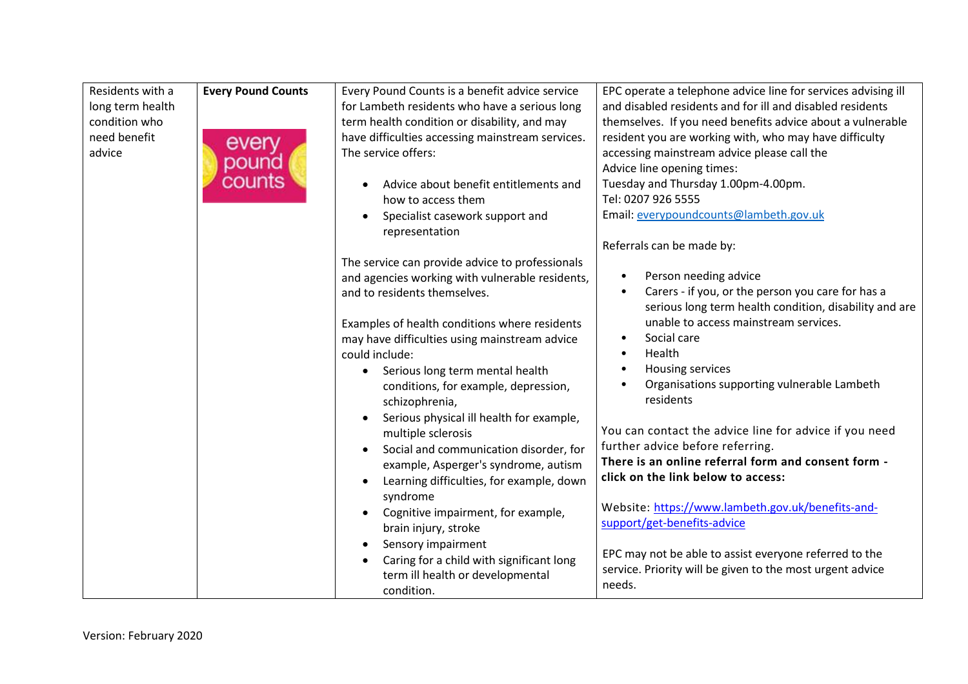| for Lambeth residents who have a serious long<br>and disabled residents and for ill and disabled residents<br>long term health<br>condition who<br>term health condition or disability, and may<br>themselves. If you need benefits advice about a vulnerable<br>need benefit<br>have difficulties accessing mainstream services.<br>resident you are working with, who may have difficulty<br>every<br>The service offers:<br>accessing mainstream advice please call the<br>advice<br>pound<br>Advice line opening times:<br>counts<br>Tuesday and Thursday 1.00pm-4.00pm.<br>Advice about benefit entitlements and<br>Tel: 0207 926 5555<br>how to access them<br>Email: everypoundcounts@lambeth.gov.uk<br>Specialist casework support and<br>representation<br>Referrals can be made by:<br>The service can provide advice to professionals<br>Person needing advice<br>and agencies working with vulnerable residents,<br>Carers - if you, or the person you care for has a<br>and to residents themselves.<br>serious long term health condition, disability and are<br>unable to access mainstream services.<br>Examples of health conditions where residents<br>Social care<br>may have difficulties using mainstream advice<br>$\bullet$<br>Health<br>could include:<br>Housing services<br>• Serious long term mental health<br>Organisations supporting vulnerable Lambeth<br>conditions, for example, depression,<br>residents<br>schizophrenia,<br>Serious physical ill health for example,<br>$\bullet$<br>You can contact the advice line for advice if you need<br>multiple sclerosis<br>further advice before referring.<br>Social and communication disorder, for<br>There is an online referral form and consent form -<br>example, Asperger's syndrome, autism<br>click on the link below to access:<br>Learning difficulties, for example, down<br>$\bullet$<br>syndrome<br>Website: https://www.lambeth.gov.uk/benefits-and-<br>Cognitive impairment, for example,<br>support/get-benefits-advice<br>brain injury, stroke<br>Sensory impairment<br>EPC may not be able to assist everyone referred to the | Residents with a | <b>Every Pound Counts</b> | Every Pound Counts is a benefit advice service | EPC operate a telephone advice line for services advising ill |
|----------------------------------------------------------------------------------------------------------------------------------------------------------------------------------------------------------------------------------------------------------------------------------------------------------------------------------------------------------------------------------------------------------------------------------------------------------------------------------------------------------------------------------------------------------------------------------------------------------------------------------------------------------------------------------------------------------------------------------------------------------------------------------------------------------------------------------------------------------------------------------------------------------------------------------------------------------------------------------------------------------------------------------------------------------------------------------------------------------------------------------------------------------------------------------------------------------------------------------------------------------------------------------------------------------------------------------------------------------------------------------------------------------------------------------------------------------------------------------------------------------------------------------------------------------------------------------------------------------------------------------------------------------------------------------------------------------------------------------------------------------------------------------------------------------------------------------------------------------------------------------------------------------------------------------------------------------------------------------------------------------------------------------------------------------------------------------------------------------------------------------|------------------|---------------------------|------------------------------------------------|---------------------------------------------------------------|
|                                                                                                                                                                                                                                                                                                                                                                                                                                                                                                                                                                                                                                                                                                                                                                                                                                                                                                                                                                                                                                                                                                                                                                                                                                                                                                                                                                                                                                                                                                                                                                                                                                                                                                                                                                                                                                                                                                                                                                                                                                                                                                                                  |                  |                           |                                                |                                                               |
|                                                                                                                                                                                                                                                                                                                                                                                                                                                                                                                                                                                                                                                                                                                                                                                                                                                                                                                                                                                                                                                                                                                                                                                                                                                                                                                                                                                                                                                                                                                                                                                                                                                                                                                                                                                                                                                                                                                                                                                                                                                                                                                                  |                  |                           |                                                |                                                               |
|                                                                                                                                                                                                                                                                                                                                                                                                                                                                                                                                                                                                                                                                                                                                                                                                                                                                                                                                                                                                                                                                                                                                                                                                                                                                                                                                                                                                                                                                                                                                                                                                                                                                                                                                                                                                                                                                                                                                                                                                                                                                                                                                  |                  |                           |                                                |                                                               |
|                                                                                                                                                                                                                                                                                                                                                                                                                                                                                                                                                                                                                                                                                                                                                                                                                                                                                                                                                                                                                                                                                                                                                                                                                                                                                                                                                                                                                                                                                                                                                                                                                                                                                                                                                                                                                                                                                                                                                                                                                                                                                                                                  |                  |                           |                                                |                                                               |
|                                                                                                                                                                                                                                                                                                                                                                                                                                                                                                                                                                                                                                                                                                                                                                                                                                                                                                                                                                                                                                                                                                                                                                                                                                                                                                                                                                                                                                                                                                                                                                                                                                                                                                                                                                                                                                                                                                                                                                                                                                                                                                                                  |                  |                           |                                                |                                                               |
|                                                                                                                                                                                                                                                                                                                                                                                                                                                                                                                                                                                                                                                                                                                                                                                                                                                                                                                                                                                                                                                                                                                                                                                                                                                                                                                                                                                                                                                                                                                                                                                                                                                                                                                                                                                                                                                                                                                                                                                                                                                                                                                                  |                  |                           |                                                |                                                               |
|                                                                                                                                                                                                                                                                                                                                                                                                                                                                                                                                                                                                                                                                                                                                                                                                                                                                                                                                                                                                                                                                                                                                                                                                                                                                                                                                                                                                                                                                                                                                                                                                                                                                                                                                                                                                                                                                                                                                                                                                                                                                                                                                  |                  |                           |                                                |                                                               |
|                                                                                                                                                                                                                                                                                                                                                                                                                                                                                                                                                                                                                                                                                                                                                                                                                                                                                                                                                                                                                                                                                                                                                                                                                                                                                                                                                                                                                                                                                                                                                                                                                                                                                                                                                                                                                                                                                                                                                                                                                                                                                                                                  |                  |                           |                                                |                                                               |
|                                                                                                                                                                                                                                                                                                                                                                                                                                                                                                                                                                                                                                                                                                                                                                                                                                                                                                                                                                                                                                                                                                                                                                                                                                                                                                                                                                                                                                                                                                                                                                                                                                                                                                                                                                                                                                                                                                                                                                                                                                                                                                                                  |                  |                           |                                                |                                                               |
|                                                                                                                                                                                                                                                                                                                                                                                                                                                                                                                                                                                                                                                                                                                                                                                                                                                                                                                                                                                                                                                                                                                                                                                                                                                                                                                                                                                                                                                                                                                                                                                                                                                                                                                                                                                                                                                                                                                                                                                                                                                                                                                                  |                  |                           |                                                |                                                               |
|                                                                                                                                                                                                                                                                                                                                                                                                                                                                                                                                                                                                                                                                                                                                                                                                                                                                                                                                                                                                                                                                                                                                                                                                                                                                                                                                                                                                                                                                                                                                                                                                                                                                                                                                                                                                                                                                                                                                                                                                                                                                                                                                  |                  |                           |                                                |                                                               |
|                                                                                                                                                                                                                                                                                                                                                                                                                                                                                                                                                                                                                                                                                                                                                                                                                                                                                                                                                                                                                                                                                                                                                                                                                                                                                                                                                                                                                                                                                                                                                                                                                                                                                                                                                                                                                                                                                                                                                                                                                                                                                                                                  |                  |                           |                                                |                                                               |
|                                                                                                                                                                                                                                                                                                                                                                                                                                                                                                                                                                                                                                                                                                                                                                                                                                                                                                                                                                                                                                                                                                                                                                                                                                                                                                                                                                                                                                                                                                                                                                                                                                                                                                                                                                                                                                                                                                                                                                                                                                                                                                                                  |                  |                           |                                                |                                                               |
|                                                                                                                                                                                                                                                                                                                                                                                                                                                                                                                                                                                                                                                                                                                                                                                                                                                                                                                                                                                                                                                                                                                                                                                                                                                                                                                                                                                                                                                                                                                                                                                                                                                                                                                                                                                                                                                                                                                                                                                                                                                                                                                                  |                  |                           |                                                |                                                               |
|                                                                                                                                                                                                                                                                                                                                                                                                                                                                                                                                                                                                                                                                                                                                                                                                                                                                                                                                                                                                                                                                                                                                                                                                                                                                                                                                                                                                                                                                                                                                                                                                                                                                                                                                                                                                                                                                                                                                                                                                                                                                                                                                  |                  |                           |                                                |                                                               |
|                                                                                                                                                                                                                                                                                                                                                                                                                                                                                                                                                                                                                                                                                                                                                                                                                                                                                                                                                                                                                                                                                                                                                                                                                                                                                                                                                                                                                                                                                                                                                                                                                                                                                                                                                                                                                                                                                                                                                                                                                                                                                                                                  |                  |                           |                                                |                                                               |
|                                                                                                                                                                                                                                                                                                                                                                                                                                                                                                                                                                                                                                                                                                                                                                                                                                                                                                                                                                                                                                                                                                                                                                                                                                                                                                                                                                                                                                                                                                                                                                                                                                                                                                                                                                                                                                                                                                                                                                                                                                                                                                                                  |                  |                           |                                                |                                                               |
|                                                                                                                                                                                                                                                                                                                                                                                                                                                                                                                                                                                                                                                                                                                                                                                                                                                                                                                                                                                                                                                                                                                                                                                                                                                                                                                                                                                                                                                                                                                                                                                                                                                                                                                                                                                                                                                                                                                                                                                                                                                                                                                                  |                  |                           |                                                |                                                               |
|                                                                                                                                                                                                                                                                                                                                                                                                                                                                                                                                                                                                                                                                                                                                                                                                                                                                                                                                                                                                                                                                                                                                                                                                                                                                                                                                                                                                                                                                                                                                                                                                                                                                                                                                                                                                                                                                                                                                                                                                                                                                                                                                  |                  |                           |                                                |                                                               |
|                                                                                                                                                                                                                                                                                                                                                                                                                                                                                                                                                                                                                                                                                                                                                                                                                                                                                                                                                                                                                                                                                                                                                                                                                                                                                                                                                                                                                                                                                                                                                                                                                                                                                                                                                                                                                                                                                                                                                                                                                                                                                                                                  |                  |                           |                                                |                                                               |
|                                                                                                                                                                                                                                                                                                                                                                                                                                                                                                                                                                                                                                                                                                                                                                                                                                                                                                                                                                                                                                                                                                                                                                                                                                                                                                                                                                                                                                                                                                                                                                                                                                                                                                                                                                                                                                                                                                                                                                                                                                                                                                                                  |                  |                           |                                                |                                                               |
|                                                                                                                                                                                                                                                                                                                                                                                                                                                                                                                                                                                                                                                                                                                                                                                                                                                                                                                                                                                                                                                                                                                                                                                                                                                                                                                                                                                                                                                                                                                                                                                                                                                                                                                                                                                                                                                                                                                                                                                                                                                                                                                                  |                  |                           |                                                |                                                               |
|                                                                                                                                                                                                                                                                                                                                                                                                                                                                                                                                                                                                                                                                                                                                                                                                                                                                                                                                                                                                                                                                                                                                                                                                                                                                                                                                                                                                                                                                                                                                                                                                                                                                                                                                                                                                                                                                                                                                                                                                                                                                                                                                  |                  |                           |                                                |                                                               |
|                                                                                                                                                                                                                                                                                                                                                                                                                                                                                                                                                                                                                                                                                                                                                                                                                                                                                                                                                                                                                                                                                                                                                                                                                                                                                                                                                                                                                                                                                                                                                                                                                                                                                                                                                                                                                                                                                                                                                                                                                                                                                                                                  |                  |                           |                                                |                                                               |
|                                                                                                                                                                                                                                                                                                                                                                                                                                                                                                                                                                                                                                                                                                                                                                                                                                                                                                                                                                                                                                                                                                                                                                                                                                                                                                                                                                                                                                                                                                                                                                                                                                                                                                                                                                                                                                                                                                                                                                                                                                                                                                                                  |                  |                           |                                                |                                                               |
|                                                                                                                                                                                                                                                                                                                                                                                                                                                                                                                                                                                                                                                                                                                                                                                                                                                                                                                                                                                                                                                                                                                                                                                                                                                                                                                                                                                                                                                                                                                                                                                                                                                                                                                                                                                                                                                                                                                                                                                                                                                                                                                                  |                  |                           |                                                |                                                               |
|                                                                                                                                                                                                                                                                                                                                                                                                                                                                                                                                                                                                                                                                                                                                                                                                                                                                                                                                                                                                                                                                                                                                                                                                                                                                                                                                                                                                                                                                                                                                                                                                                                                                                                                                                                                                                                                                                                                                                                                                                                                                                                                                  |                  |                           |                                                |                                                               |
|                                                                                                                                                                                                                                                                                                                                                                                                                                                                                                                                                                                                                                                                                                                                                                                                                                                                                                                                                                                                                                                                                                                                                                                                                                                                                                                                                                                                                                                                                                                                                                                                                                                                                                                                                                                                                                                                                                                                                                                                                                                                                                                                  |                  |                           |                                                |                                                               |
|                                                                                                                                                                                                                                                                                                                                                                                                                                                                                                                                                                                                                                                                                                                                                                                                                                                                                                                                                                                                                                                                                                                                                                                                                                                                                                                                                                                                                                                                                                                                                                                                                                                                                                                                                                                                                                                                                                                                                                                                                                                                                                                                  |                  |                           |                                                |                                                               |
|                                                                                                                                                                                                                                                                                                                                                                                                                                                                                                                                                                                                                                                                                                                                                                                                                                                                                                                                                                                                                                                                                                                                                                                                                                                                                                                                                                                                                                                                                                                                                                                                                                                                                                                                                                                                                                                                                                                                                                                                                                                                                                                                  |                  |                           | Caring for a child with significant long       |                                                               |
| service. Priority will be given to the most urgent advice<br>term ill health or developmental                                                                                                                                                                                                                                                                                                                                                                                                                                                                                                                                                                                                                                                                                                                                                                                                                                                                                                                                                                                                                                                                                                                                                                                                                                                                                                                                                                                                                                                                                                                                                                                                                                                                                                                                                                                                                                                                                                                                                                                                                                    |                  |                           |                                                |                                                               |
| needs.<br>condition.                                                                                                                                                                                                                                                                                                                                                                                                                                                                                                                                                                                                                                                                                                                                                                                                                                                                                                                                                                                                                                                                                                                                                                                                                                                                                                                                                                                                                                                                                                                                                                                                                                                                                                                                                                                                                                                                                                                                                                                                                                                                                                             |                  |                           |                                                |                                                               |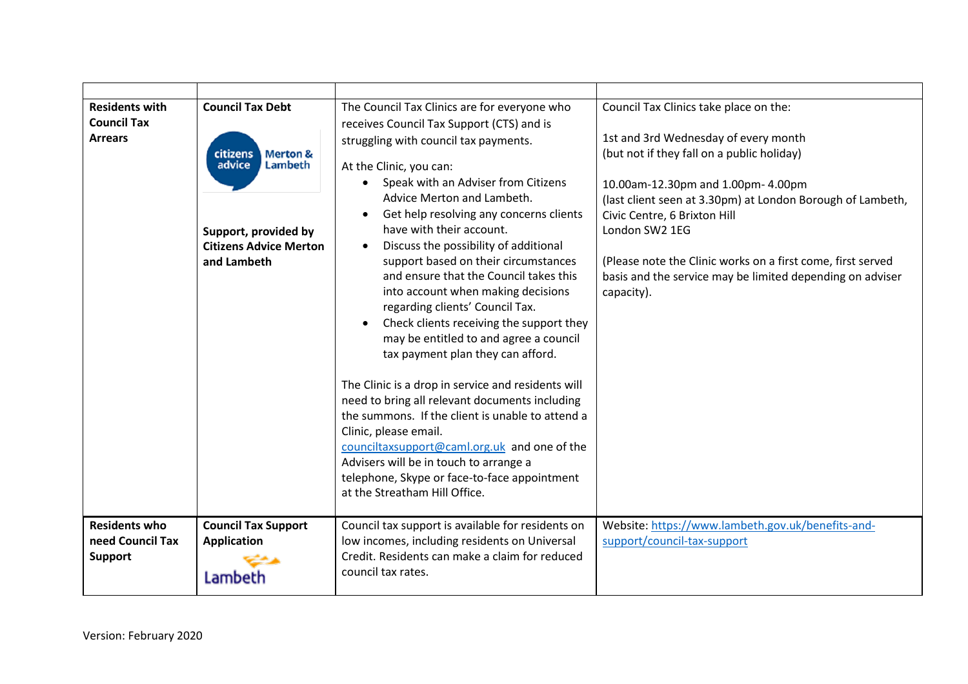| <b>Residents with</b><br><b>Council Tax</b><br><b>Arrears</b> | <b>Council Tax Debt</b><br>citizens<br><b>Merton &amp;</b><br><b>Lambeth</b><br>advice<br>Support, provided by<br><b>Citizens Advice Merton</b><br>and Lambeth | The Council Tax Clinics are for everyone who<br>receives Council Tax Support (CTS) and is<br>struggling with council tax payments.<br>At the Clinic, you can:<br>Speak with an Adviser from Citizens<br>Advice Merton and Lambeth.<br>Get help resolving any concerns clients<br>have with their account.<br>Discuss the possibility of additional<br>$\bullet$<br>support based on their circumstances<br>and ensure that the Council takes this<br>into account when making decisions<br>regarding clients' Council Tax.<br>Check clients receiving the support they<br>may be entitled to and agree a council<br>tax payment plan they can afford.<br>The Clinic is a drop in service and residents will<br>need to bring all relevant documents including<br>the summons. If the client is unable to attend a<br>Clinic, please email.<br>counciltaxsupport@caml.org.uk and one of the<br>Advisers will be in touch to arrange a<br>telephone, Skype or face-to-face appointment<br>at the Streatham Hill Office. | Council Tax Clinics take place on the:<br>1st and 3rd Wednesday of every month<br>(but not if they fall on a public holiday)<br>10.00am-12.30pm and 1.00pm- 4.00pm<br>(last client seen at 3.30pm) at London Borough of Lambeth,<br>Civic Centre, 6 Brixton Hill<br>London SW2 1EG<br>(Please note the Clinic works on a first come, first served<br>basis and the service may be limited depending on adviser<br>capacity). |
|---------------------------------------------------------------|----------------------------------------------------------------------------------------------------------------------------------------------------------------|-----------------------------------------------------------------------------------------------------------------------------------------------------------------------------------------------------------------------------------------------------------------------------------------------------------------------------------------------------------------------------------------------------------------------------------------------------------------------------------------------------------------------------------------------------------------------------------------------------------------------------------------------------------------------------------------------------------------------------------------------------------------------------------------------------------------------------------------------------------------------------------------------------------------------------------------------------------------------------------------------------------------------|------------------------------------------------------------------------------------------------------------------------------------------------------------------------------------------------------------------------------------------------------------------------------------------------------------------------------------------------------------------------------------------------------------------------------|
| <b>Residents who</b><br>need Council Tax<br><b>Support</b>    | <b>Council Tax Support</b><br><b>Application</b><br>Lambeth                                                                                                    | Council tax support is available for residents on<br>low incomes, including residents on Universal<br>Credit. Residents can make a claim for reduced<br>council tax rates.                                                                                                                                                                                                                                                                                                                                                                                                                                                                                                                                                                                                                                                                                                                                                                                                                                            | Website: https://www.lambeth.gov.uk/benefits-and-<br>support/council-tax-support                                                                                                                                                                                                                                                                                                                                             |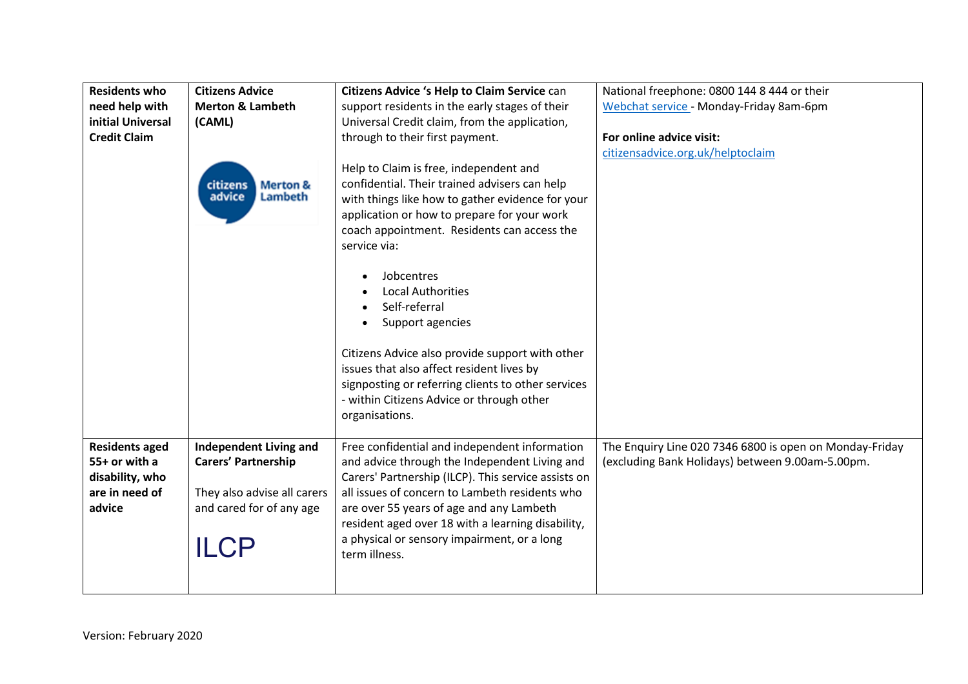| <b>Residents who</b>                                                                  | <b>Citizens Advice</b>                                                                                                         | Citizens Advice 's Help to Claim Service can                                                                                                                                                                                                                                                                                                                             | National freephone: 0800 144 8 444 or their                                                                 |
|---------------------------------------------------------------------------------------|--------------------------------------------------------------------------------------------------------------------------------|--------------------------------------------------------------------------------------------------------------------------------------------------------------------------------------------------------------------------------------------------------------------------------------------------------------------------------------------------------------------------|-------------------------------------------------------------------------------------------------------------|
| need help with                                                                        | <b>Merton &amp; Lambeth</b>                                                                                                    | support residents in the early stages of their                                                                                                                                                                                                                                                                                                                           | Webchat service - Monday-Friday 8am-6pm                                                                     |
| initial Universal                                                                     | (CAML)                                                                                                                         | Universal Credit claim, from the application,                                                                                                                                                                                                                                                                                                                            |                                                                                                             |
| <b>Credit Claim</b>                                                                   |                                                                                                                                | through to their first payment.                                                                                                                                                                                                                                                                                                                                          | For online advice visit:                                                                                    |
|                                                                                       |                                                                                                                                |                                                                                                                                                                                                                                                                                                                                                                          | citizensadvice.org.uk/helptoclaim                                                                           |
|                                                                                       | <b>Merton &amp;</b><br>citizens<br>advice<br>Lambeth                                                                           | Help to Claim is free, independent and<br>confidential. Their trained advisers can help<br>with things like how to gather evidence for your<br>application or how to prepare for your work<br>coach appointment. Residents can access the<br>service via:                                                                                                                |                                                                                                             |
|                                                                                       |                                                                                                                                | Jobcentres<br><b>Local Authorities</b><br>Self-referral<br>Support agencies<br>Citizens Advice also provide support with other<br>issues that also affect resident lives by<br>signposting or referring clients to other services<br>- within Citizens Advice or through other<br>organisations.                                                                         |                                                                                                             |
| <b>Residents aged</b><br>55+ or with a<br>disability, who<br>are in need of<br>advice | <b>Independent Living and</b><br><b>Carers' Partnership</b><br>They also advise all carers<br>and cared for of any age<br>ILCP | Free confidential and independent information<br>and advice through the Independent Living and<br>Carers' Partnership (ILCP). This service assists on<br>all issues of concern to Lambeth residents who<br>are over 55 years of age and any Lambeth<br>resident aged over 18 with a learning disability,<br>a physical or sensory impairment, or a long<br>term illness. | The Enquiry Line 020 7346 6800 is open on Monday-Friday<br>(excluding Bank Holidays) between 9.00am-5.00pm. |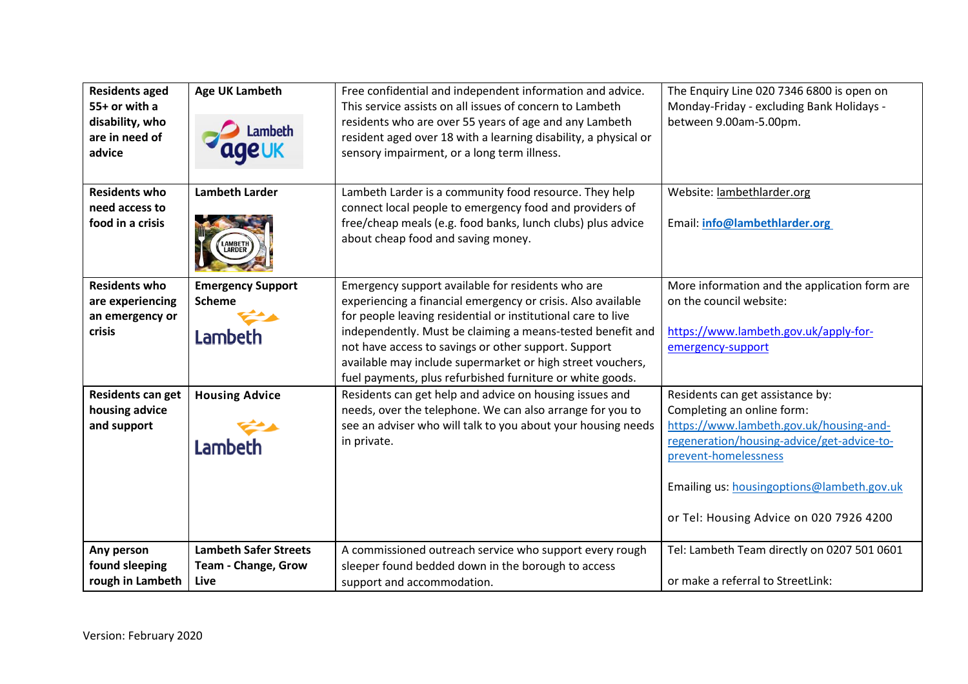| <b>Residents aged</b><br>55+ or with a<br>disability, who<br>are in need of<br>advice | <b>Age UK Lambeth</b><br>.ambeth                            | Free confidential and independent information and advice.<br>This service assists on all issues of concern to Lambeth<br>residents who are over 55 years of age and any Lambeth<br>resident aged over 18 with a learning disability, a physical or<br>sensory impairment, or a long term illness.                                                                                                                                  | The Enquiry Line 020 7346 6800 is open on<br>Monday-Friday - excluding Bank Holidays -<br>between 9.00am-5.00pm.                                                                                                                                                         |
|---------------------------------------------------------------------------------------|-------------------------------------------------------------|------------------------------------------------------------------------------------------------------------------------------------------------------------------------------------------------------------------------------------------------------------------------------------------------------------------------------------------------------------------------------------------------------------------------------------|--------------------------------------------------------------------------------------------------------------------------------------------------------------------------------------------------------------------------------------------------------------------------|
| <b>Residents who</b><br>need access to<br>food in a crisis                            | <b>Lambeth Larder</b><br>LAMBETH<br>LARDER                  | Lambeth Larder is a community food resource. They help<br>connect local people to emergency food and providers of<br>free/cheap meals (e.g. food banks, lunch clubs) plus advice<br>about cheap food and saving money.                                                                                                                                                                                                             | Website: lambethlarder.org<br>Email: info@lambethlarder.org                                                                                                                                                                                                              |
| <b>Residents who</b><br>are experiencing<br>an emergency or<br>crisis                 | <b>Emergency Support</b><br><b>Scheme</b><br>Lambeth        | Emergency support available for residents who are<br>experiencing a financial emergency or crisis. Also available<br>for people leaving residential or institutional care to live<br>independently. Must be claiming a means-tested benefit and<br>not have access to savings or other support. Support<br>available may include supermarket or high street vouchers,<br>fuel payments, plus refurbished furniture or white goods. | More information and the application form are<br>on the council website:<br>https://www.lambeth.gov.uk/apply-for-<br>emergency-support                                                                                                                                   |
| <b>Residents can get</b><br>housing advice<br>and support                             | <b>Housing Advice</b><br>Lambeth                            | Residents can get help and advice on housing issues and<br>needs, over the telephone. We can also arrange for you to<br>see an adviser who will talk to you about your housing needs<br>in private.                                                                                                                                                                                                                                | Residents can get assistance by:<br>Completing an online form:<br>https://www.lambeth.gov.uk/housing-and-<br>regeneration/housing-advice/get-advice-to-<br>prevent-homelessness<br>Emailing us: housingoptions@lambeth.gov.uk<br>or Tel: Housing Advice on 020 7926 4200 |
| Any person<br>found sleeping<br>rough in Lambeth                                      | <b>Lambeth Safer Streets</b><br>Team - Change, Grow<br>Live | A commissioned outreach service who support every rough<br>sleeper found bedded down in the borough to access<br>support and accommodation.                                                                                                                                                                                                                                                                                        | Tel: Lambeth Team directly on 0207 501 0601<br>or make a referral to StreetLink:                                                                                                                                                                                         |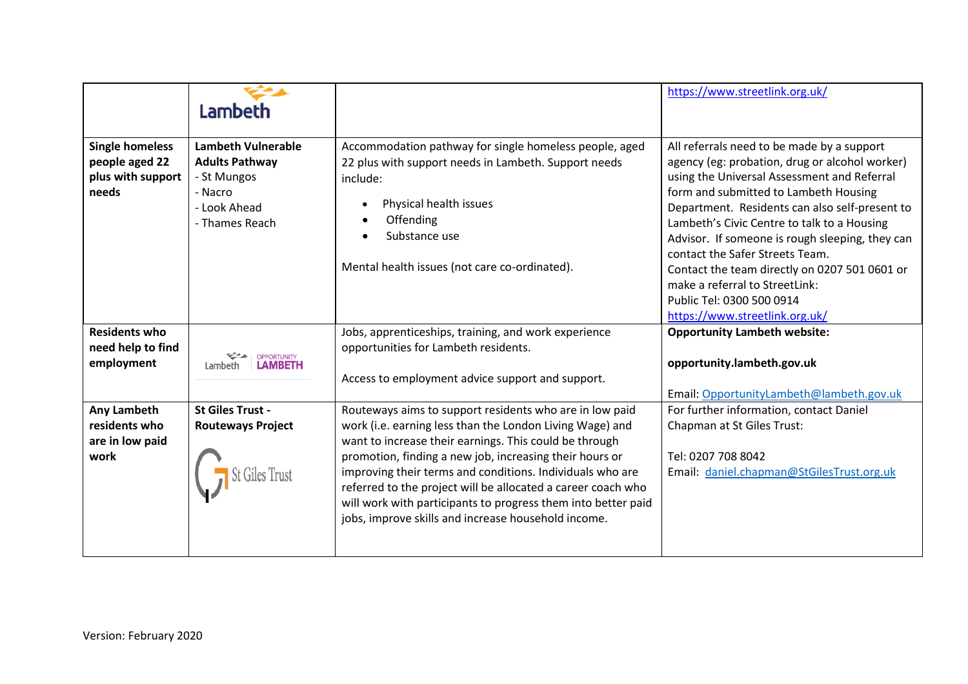|                                                                        | Lambeth                                                                                                        |                                                                                                                                                                                                                                                                                                                                                                                                                                                                                               | https://www.streetlink.org.uk/                                                                                                                                                                                                                                                                                                                                                                                                                                                                                                |
|------------------------------------------------------------------------|----------------------------------------------------------------------------------------------------------------|-----------------------------------------------------------------------------------------------------------------------------------------------------------------------------------------------------------------------------------------------------------------------------------------------------------------------------------------------------------------------------------------------------------------------------------------------------------------------------------------------|-------------------------------------------------------------------------------------------------------------------------------------------------------------------------------------------------------------------------------------------------------------------------------------------------------------------------------------------------------------------------------------------------------------------------------------------------------------------------------------------------------------------------------|
| <b>Single homeless</b><br>people aged 22<br>plus with support<br>needs | <b>Lambeth Vulnerable</b><br><b>Adults Pathway</b><br>- St Mungos<br>- Nacro<br>- Look Ahead<br>- Thames Reach | Accommodation pathway for single homeless people, aged<br>22 plus with support needs in Lambeth. Support needs<br>include:<br>Physical health issues<br>Offending<br>Substance use<br>Mental health issues (not care co-ordinated).                                                                                                                                                                                                                                                           | All referrals need to be made by a support<br>agency (eg: probation, drug or alcohol worker)<br>using the Universal Assessment and Referral<br>form and submitted to Lambeth Housing<br>Department. Residents can also self-present to<br>Lambeth's Civic Centre to talk to a Housing<br>Advisor. If someone is rough sleeping, they can<br>contact the Safer Streets Team.<br>Contact the team directly on 0207 501 0601 or<br>make a referral to StreetLink:<br>Public Tel: 0300 500 0914<br>https://www.streetlink.org.uk/ |
| <b>Residents who</b><br>need help to find<br>employment                | <b>OPPORTUNITY</b><br>Lambeth                                                                                  | Jobs, apprenticeships, training, and work experience<br>opportunities for Lambeth residents.<br>Access to employment advice support and support.                                                                                                                                                                                                                                                                                                                                              | <b>Opportunity Lambeth website:</b><br>opportunity.lambeth.gov.uk<br>Email: OpportunityLambeth@lambeth.gov.uk                                                                                                                                                                                                                                                                                                                                                                                                                 |
| Any Lambeth<br>residents who<br>are in low paid<br>work                | <b>St Giles Trust -</b><br><b>Routeways Project</b>                                                            | Routeways aims to support residents who are in low paid<br>work (i.e. earning less than the London Living Wage) and<br>want to increase their earnings. This could be through<br>promotion, finding a new job, increasing their hours or<br>improving their terms and conditions. Individuals who are<br>referred to the project will be allocated a career coach who<br>will work with participants to progress them into better paid<br>jobs, improve skills and increase household income. | For further information, contact Daniel<br>Chapman at St Giles Trust:<br>Tel: 0207 708 8042<br>Email: daniel.chapman@StGilesTrust.org.uk                                                                                                                                                                                                                                                                                                                                                                                      |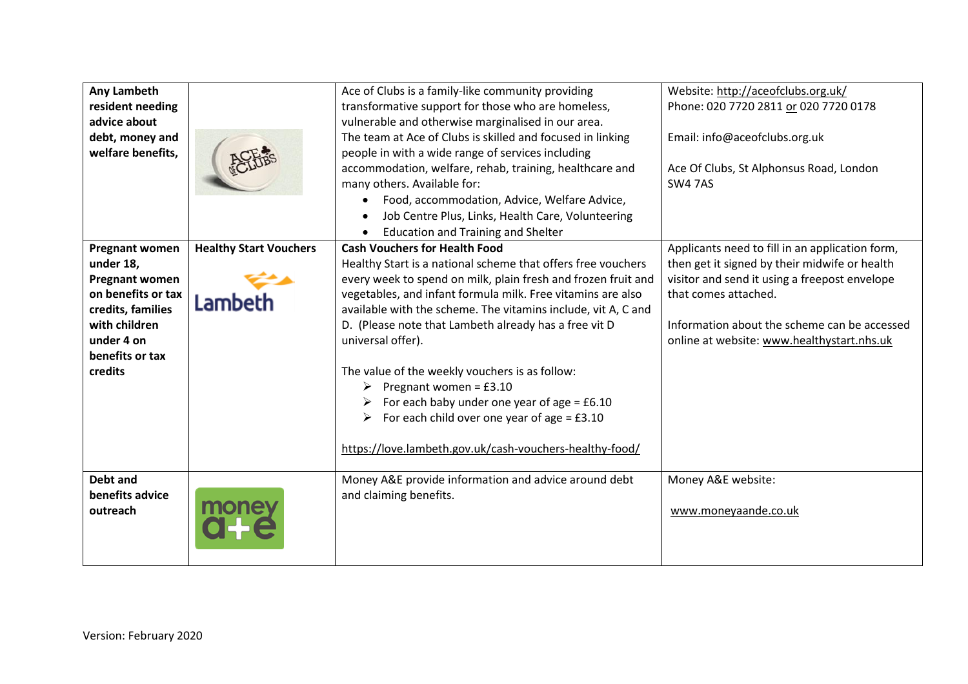| Any Lambeth           |                               | Ace of Clubs is a family-like community providing             | Website: http://aceofclubs.org.uk/              |
|-----------------------|-------------------------------|---------------------------------------------------------------|-------------------------------------------------|
| resident needing      |                               | transformative support for those who are homeless,            | Phone: 020 7720 2811 or 020 7720 0178           |
| advice about          |                               | vulnerable and otherwise marginalised in our area.            |                                                 |
| debt, money and       |                               | The team at Ace of Clubs is skilled and focused in linking    | Email: info@aceofclubs.org.uk                   |
| welfare benefits,     |                               | people in with a wide range of services including             |                                                 |
|                       |                               | accommodation, welfare, rehab, training, healthcare and       | Ace Of Clubs, St Alphonsus Road, London         |
|                       |                               | many others. Available for:                                   | <b>SW4 7AS</b>                                  |
|                       |                               | Food, accommodation, Advice, Welfare Advice,                  |                                                 |
|                       |                               | Job Centre Plus, Links, Health Care, Volunteering             |                                                 |
|                       |                               | <b>Education and Training and Shelter</b>                     |                                                 |
| <b>Pregnant women</b> | <b>Healthy Start Vouchers</b> | <b>Cash Vouchers for Health Food</b>                          | Applicants need to fill in an application form, |
| under 18,             |                               | Healthy Start is a national scheme that offers free vouchers  | then get it signed by their midwife or health   |
| <b>Pregnant women</b> |                               | every week to spend on milk, plain fresh and frozen fruit and | visitor and send it using a freepost envelope   |
| on benefits or tax    | Lambeth                       | vegetables, and infant formula milk. Free vitamins are also   | that comes attached.                            |
| credits, families     |                               | available with the scheme. The vitamins include, vit A, C and |                                                 |
| with children         |                               | D. (Please note that Lambeth already has a free vit D         | Information about the scheme can be accessed    |
| under 4 on            |                               | universal offer).                                             | online at website: www.healthystart.nhs.uk      |
| benefits or tax       |                               |                                                               |                                                 |
| credits               |                               | The value of the weekly vouchers is as follow:                |                                                 |
|                       |                               | $\triangleright$ Pregnant women = £3.10                       |                                                 |
|                       |                               | For each baby under one year of age = $£6.10$                 |                                                 |
|                       |                               | For each child over one year of age = $£3.10$<br>➤            |                                                 |
|                       |                               | https://love.lambeth.gov.uk/cash-vouchers-healthy-food/       |                                                 |
|                       |                               |                                                               |                                                 |
| Debt and              |                               | Money A&E provide information and advice around debt          | Money A&E website:                              |
| benefits advice       |                               | and claiming benefits.                                        |                                                 |
| outreach              | <b>mone</b>                   |                                                               | www.moneyaande.co.uk                            |
|                       |                               |                                                               |                                                 |
|                       |                               |                                                               |                                                 |
|                       |                               |                                                               |                                                 |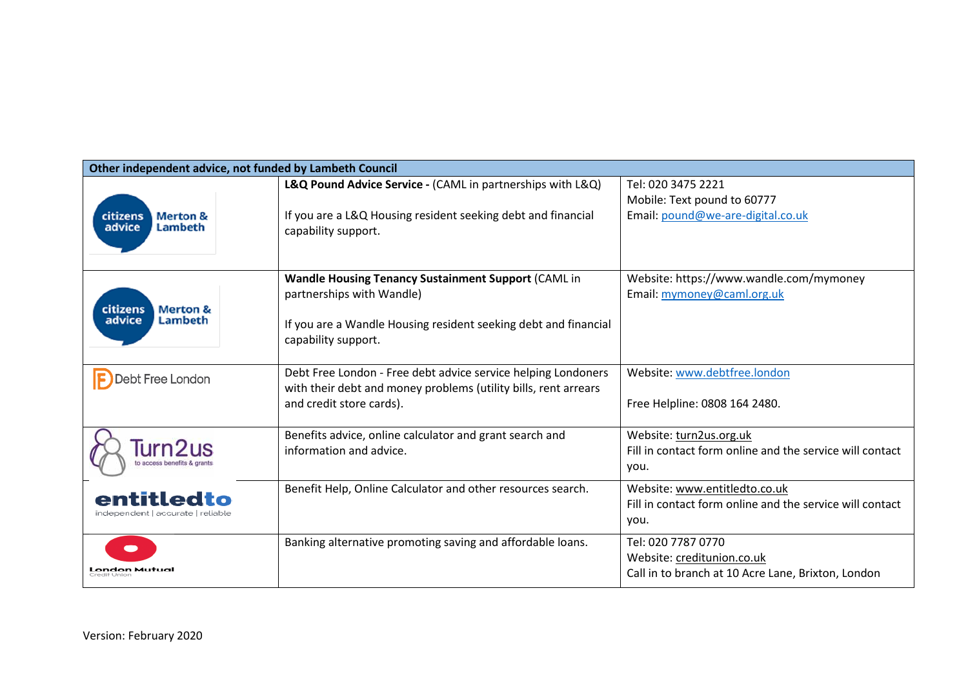| Other independent advice, not funded by Lambeth Council |                                                                 |                                                          |  |
|---------------------------------------------------------|-----------------------------------------------------------------|----------------------------------------------------------|--|
|                                                         | L&Q Pound Advice Service - (CAML in partnerships with L&Q)      | Tel: 020 3475 2221                                       |  |
|                                                         |                                                                 | Mobile: Text pound to 60777                              |  |
| citizens<br><b>Merton &amp;</b>                         | If you are a L&Q Housing resident seeking debt and financial    | Email: pound@we-are-digital.co.uk                        |  |
| advice<br>Lambeth                                       | capability support.                                             |                                                          |  |
|                                                         |                                                                 |                                                          |  |
|                                                         |                                                                 |                                                          |  |
|                                                         | <b>Wandle Housing Tenancy Sustainment Support (CAML in</b>      | Website: https://www.wandle.com/mymoney                  |  |
| <b>Merton &amp;</b><br>citizens                         | partnerships with Wandle)                                       | Email: mymoney@caml.org.uk                               |  |
| advice<br>Lambeth                                       | If you are a Wandle Housing resident seeking debt and financial |                                                          |  |
|                                                         | capability support.                                             |                                                          |  |
|                                                         |                                                                 |                                                          |  |
| <b>Debt Free London</b>                                 | Debt Free London - Free debt advice service helping Londoners   | Website: www.debtfree.london                             |  |
|                                                         | with their debt and money problems (utility bills, rent arrears |                                                          |  |
|                                                         | and credit store cards).                                        | Free Helpline: 0808 164 2480.                            |  |
|                                                         |                                                                 |                                                          |  |
| Turn2us                                                 | Benefits advice, online calculator and grant search and         | Website: turn2us.org.uk                                  |  |
|                                                         | information and advice.                                         | Fill in contact form online and the service will contact |  |
|                                                         |                                                                 | you.                                                     |  |
| entitledto                                              | Benefit Help, Online Calculator and other resources search.     | Website: www.entitledto.co.uk                            |  |
| independent   accurate   reliable                       |                                                                 | Fill in contact form online and the service will contact |  |
|                                                         |                                                                 | you.                                                     |  |
|                                                         | Banking alternative promoting saving and affordable loans.      | Tel: 020 7787 0770                                       |  |
|                                                         |                                                                 | Website: creditunion.co.uk                               |  |
| <b>London Mutual</b>                                    |                                                                 | Call in to branch at 10 Acre Lane, Brixton, London       |  |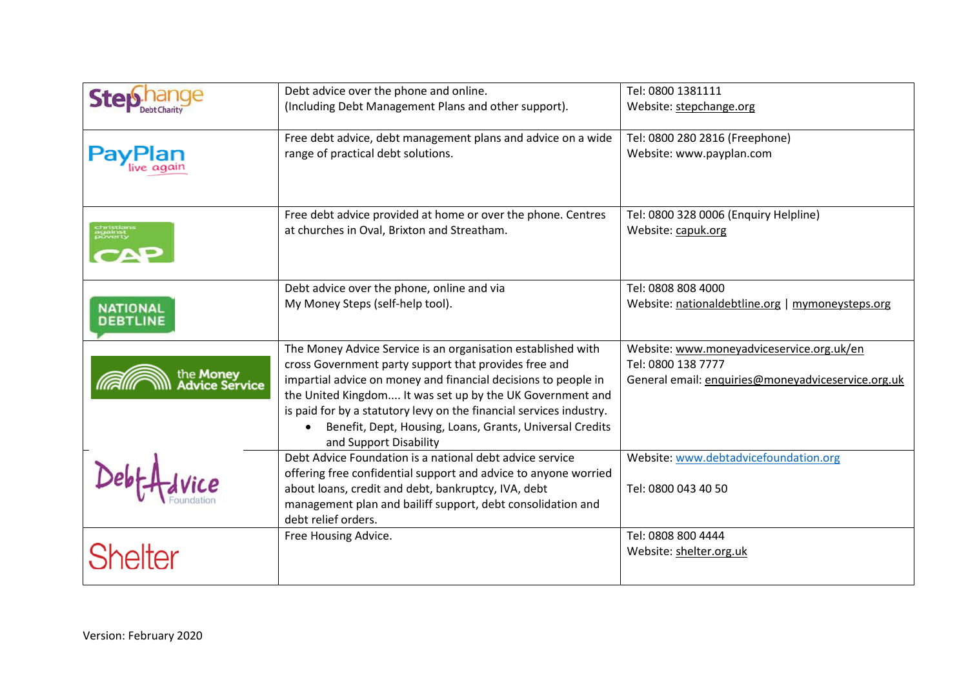|                                           | Debt advice over the phone and online.                                                          | Tel: 0800 1381111                                  |
|-------------------------------------------|-------------------------------------------------------------------------------------------------|----------------------------------------------------|
|                                           | (Including Debt Management Plans and other support).                                            | Website: stepchange.org                            |
|                                           | Free debt advice, debt management plans and advice on a wide                                    | Tel: 0800 280 2816 (Freephone)                     |
| PayPlan                                   | range of practical debt solutions.                                                              | Website: www.payplan.com                           |
|                                           | Free debt advice provided at home or over the phone. Centres                                    | Tel: 0800 328 0006 (Enquiry Helpline)              |
|                                           | at churches in Oval, Brixton and Streatham.                                                     | Website: capuk.org                                 |
|                                           | Debt advice over the phone, online and via                                                      | Tel: 0808 808 4000                                 |
| <b>NATIONAL</b><br><b>DEBTLINE</b>        | My Money Steps (self-help tool).                                                                | Website: nationaldebtline.org   mymoneysteps.org   |
|                                           | The Money Advice Service is an organisation established with                                    | Website: www.moneyadviceservice.org.uk/en          |
|                                           | cross Government party support that provides free and                                           | Tel: 0800 138 7777                                 |
| the <b>Money</b><br><b>Advice Service</b> | impartial advice on money and financial decisions to people in                                  | General email: enquiries@moneyadviceservice.org.uk |
|                                           | the United Kingdom It was set up by the UK Government and                                       |                                                    |
|                                           | is paid for by a statutory levy on the financial services industry.                             |                                                    |
|                                           | Benefit, Dept, Housing, Loans, Grants, Universal Credits<br>$\bullet$<br>and Support Disability |                                                    |
|                                           | Debt Advice Foundation is a national debt advice service                                        | Website: www.debtadvicefoundation.org              |
|                                           | offering free confidential support and advice to anyone worried                                 |                                                    |
|                                           | about loans, credit and debt, bankruptcy, IVA, debt                                             | Tel: 0800 043 40 50                                |
|                                           | management plan and bailiff support, debt consolidation and<br>debt relief orders.              |                                                    |
|                                           | Free Housing Advice.                                                                            | Tel: 0808 800 4444                                 |
| <b>Shelter</b>                            |                                                                                                 | Website: shelter.org.uk                            |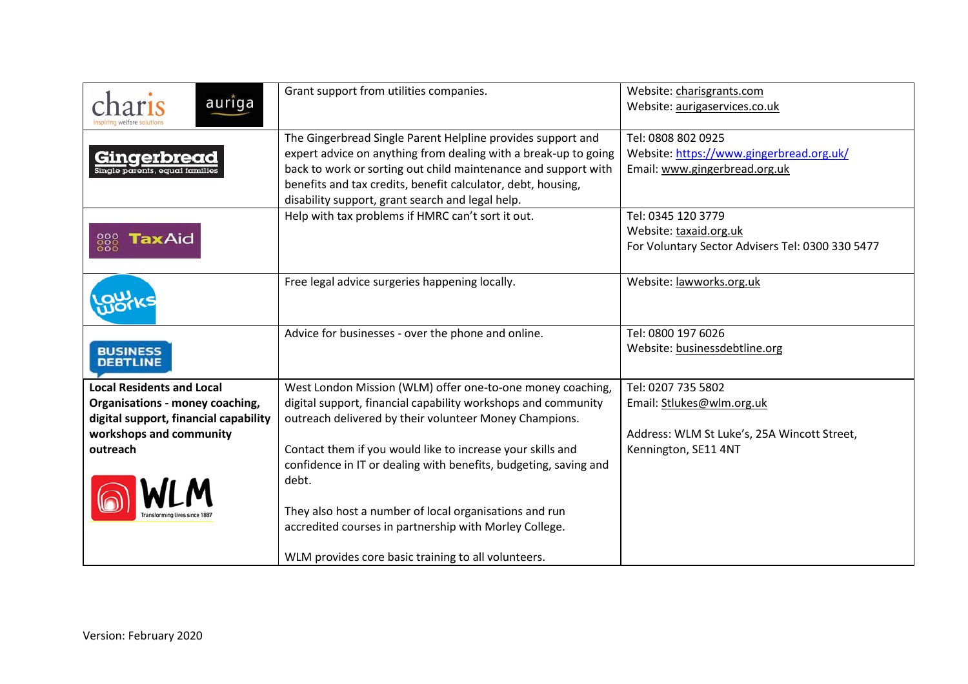| auriga                                 | Grant support from utilities companies.                                                                                                                                                                                                                                                                              | Website: charisgrants.com<br>Website: aurigaservices.co.uk                                       |
|----------------------------------------|----------------------------------------------------------------------------------------------------------------------------------------------------------------------------------------------------------------------------------------------------------------------------------------------------------------------|--------------------------------------------------------------------------------------------------|
| Gingerbreac                            | The Gingerbread Single Parent Helpline provides support and<br>expert advice on anything from dealing with a break-up to going<br>back to work or sorting out child maintenance and support with<br>benefits and tax credits, benefit calculator, debt, housing,<br>disability support, grant search and legal help. | Tel: 0808 802 0925<br>Website: https://www.gingerbread.org.uk/<br>Email: www.gingerbread.org.uk  |
| <b>TaxAid</b><br>888                   | Help with tax problems if HMRC can't sort it out.                                                                                                                                                                                                                                                                    | Tel: 0345 120 3779<br>Website: taxaid.org.uk<br>For Voluntary Sector Advisers Tel: 0300 330 5477 |
|                                        | Free legal advice surgeries happening locally.                                                                                                                                                                                                                                                                       | Website: lawworks.org.uk                                                                         |
| <b>BUSINESS</b><br><b>DEBTLINE</b>     | Advice for businesses - over the phone and online.                                                                                                                                                                                                                                                                   | Tel: 0800 197 6026<br>Website: businessdebtline.org                                              |
| <b>Local Residents and Local</b>       | West London Mission (WLM) offer one-to-one money coaching,                                                                                                                                                                                                                                                           | Tel: 0207 735 5802                                                                               |
| <b>Organisations - money coaching,</b> | digital support, financial capability workshops and community                                                                                                                                                                                                                                                        | Email: Stlukes@wlm.org.uk                                                                        |
| digital support, financial capability  | outreach delivered by their volunteer Money Champions.                                                                                                                                                                                                                                                               |                                                                                                  |
| workshops and community<br>outreach    | Contact them if you would like to increase your skills and                                                                                                                                                                                                                                                           | Address: WLM St Luke's, 25A Wincott Street,<br>Kennington, SE11 4NT                              |
|                                        | confidence in IT or dealing with benefits, budgeting, saving and                                                                                                                                                                                                                                                     |                                                                                                  |
|                                        | debt.                                                                                                                                                                                                                                                                                                                |                                                                                                  |
|                                        | They also host a number of local organisations and run<br>accredited courses in partnership with Morley College.                                                                                                                                                                                                     |                                                                                                  |
|                                        | WLM provides core basic training to all volunteers.                                                                                                                                                                                                                                                                  |                                                                                                  |